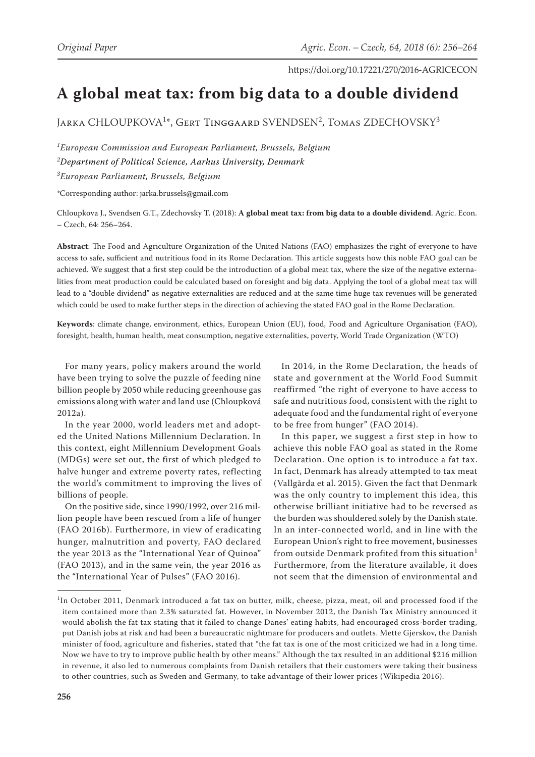# **A global meat tax: from big data to a double dividend**

Jarka CHLOUPKOVA $^{1*}$ , Gert Tinggaard SVENDSEN $^{2}$ , Tomas ZDECHOVSKY $^{3}$ 

*1 European Commission and European Parliament, Brussels, Belgium 2 Department of Political Science, Aarhus University, Denmark 3 European Parliament, Brussels, Belgium*

\*Corresponding author: jarka.brussels@gmail.com

Chloupkova J., Svendsen G.T., Zdechovsky T. (2018): **A global meat tax: from big data to a double dividend**. Agric. Econ. – Czech, 64: 256–264.

**Abstract**: The Food and Agriculture Organization of the United Nations (FAO) emphasizes the right of everyone to have access to safe, sufficient and nutritious food in its Rome Declaration. This article suggests how this noble FAO goal can be achieved. We suggest that a first step could be the introduction of a global meat tax, where the size of the negative externalities from meat production could be calculated based on foresight and big data. Applying the tool of a global meat tax will lead to a "double dividend" as negative externalities are reduced and at the same time huge tax revenues will be generated which could be used to make further steps in the direction of achieving the stated FAO goal in the Rome Declaration.

**Keywords**: climate change, environment, ethics, European Union (EU), food, Food and Agriculture Organisation (FAO), foresight, health, human health, meat consumption, negative externalities, poverty, World Trade Organization (WTO)

For many years, policy makers around the world have been trying to solve the puzzle of feeding nine billion people by 2050 while reducing greenhouse gas emissions along with water and land use (Chloupková 2012a).

In the year 2000, world leaders met and adopted the United Nations Millennium Declaration. In this context, eight Millennium Development Goals (MDGs) were set out, the first of which pledged to halve hunger and extreme poverty rates, reflecting the world's commitment to improving the lives of billions of people.

On the positive side, since 1990/1992, over 216 million people have been rescued from a life of hunger (FAO 2016b). Furthermore, in view of eradicating hunger, malnutrition and poverty, FAO declared the year 2013 as the "International Year of Quinoa" (FAO 2013), and in the same vein, the year 2016 as the "International Year of Pulses" (FAO 2016).

In 2014, in the Rome Declaration, the heads of state and government at the World Food Summit reaffirmed "the right of everyone to have access to safe and nutritious food, consistent with the right to adequate food and the fundamental right of everyone to be free from hunger" (FAO 2014).

In this paper, we suggest a first step in how to achieve this noble FAO goal as stated in the Rome Declaration. One option is to introduce a fat tax. In fact, Denmark has already attempted to tax meat (Vallgårda et al. 2015). Given the fact that Denmark was the only country to implement this idea, this otherwise brilliant initiative had to be reversed as the burden was shouldered solely by the Danish state. In an inter-connected world, and in line with the European Union's right to free movement, businesses from outside Denmark profited from this situation<sup>1</sup> Furthermore, from the literature available, it does not seem that the dimension of environmental and

<sup>&</sup>lt;sup>1</sup>In October 2011, Denmark introduced a fat tax on butter, milk, cheese, pizza, meat, oil and processed food if the item contained more than 2.3% saturated fat. However, in November 2012, the Danish Tax Ministry announced it would abolish the fat tax stating that it failed to change Danes' eating habits, had encouraged cross-border trading, put Danish jobs at risk and had been a bureaucratic nightmare for producers and outlets. Mette Gjerskov, the Danish minister of food, agriculture and fisheries, stated that "the fat tax is one of the most criticized we had in a long time. Now we have to try to improve public health by other means." Although the tax resulted in an additional \$216 million in revenue, it also led to numerous complaints from Danish retailers that their customers were taking their business to other countries, such as Sweden and Germany, to take advantage of their lower prices (Wikipedia 2016).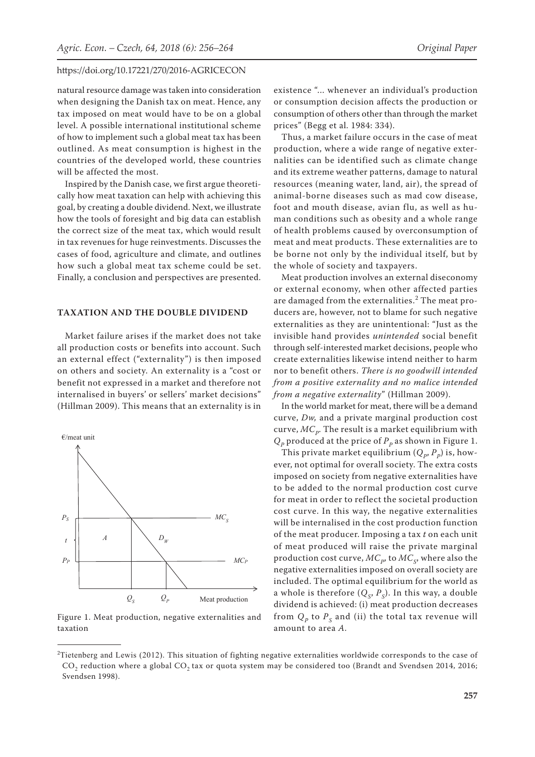natural resource damage was taken into consideration when designing the Danish tax on meat. Hence, any tax imposed on meat would have to be on a global level. A possible international institutional scheme of how to implement such a global meat tax has been outlined. As meat consumption is highest in the countries of the developed world, these countries will be affected the most.

Inspired by the Danish case, we first argue theoretically how meat taxation can help with achieving this goal, by creating a double dividend. Next, we illustrate how the tools of foresight and big data can establish the correct size of the meat tax, which would result in tax revenues for huge reinvestments. Discusses the cases of food, agriculture and climate, and outlines how such a global meat tax scheme could be set. Finally, a conclusion and perspectives are presented.

# **TAXATION AND THE DOUBLE DIVIDEND**

Market failure arises if the market does not take all production costs or benefits into account. Such an external effect ("externality") is then imposed on others and society. An externality is a "cost or benefit not expressed in a market and therefore not internalised in buyers' or sellers' market decisions" (Hillman 2009). This means that an externality is in



Figure 1. Meat production, negative externalities and taxation

existence "... whenever an individual's production or consumption decision affects the production or consumption of others other than through the market prices" (Begg et al. 1984: 334).

Thus, a market failure occurs in the case of meat production, where a wide range of negative externalities can be identified such as climate change and its extreme weather patterns, damage to natural resources (meaning water, land, air), the spread of animal-borne diseases such as mad cow disease, foot and mouth disease, avian flu, as well as human conditions such as obesity and a whole range of health problems caused by overconsumption of meat and meat products. These externalities are to be borne not only by the individual itself, but by the whole of society and taxpayers.

Meat production involves an external diseconomy or external economy, when other affected parties are damaged from the externalities. $2$  The meat producers are, however, not to blame for such negative externalities as they are unintentional: "Just as the invisible hand provides *unintended* social benefit through self-interested market decisions, people who create externalities likewise intend neither to harm nor to benefit others. *There is no goodwill intended from a positive externality and no malice intended from a negative externality*" (Hillman 2009).

In the world market for meat, there will be a demand curve, *Dw,* and a private marginal production cost curve,  $MC_p$ . The result is a market equilibrium with  $Q_p$  produced at the price of  $P_p$  as shown in Figure 1.

This private market equilibrium  $(Q_p, P_p)$  is, however, not optimal for overall society. The extra costs imposed on society from negative externalities have to be added to the normal production cost curve for meat in order to reflect the societal production cost curve. In this way, the negative externalities will be internalised in the cost production function of the meat producer. Imposing a tax *t* on each unit of meat produced will raise the private marginal production cost curve,  $MC_p$ , to  $MC_s$ , where also the negative externalities imposed on overall society are included. The optimal equilibrium for the world as a whole is therefore  $(Q_S, P_S)$ . In this way, a double dividend is achieved: (i) meat production decreases from  $Q_p$  to  $P_s$  and (ii) the total tax revenue will amount to area *A.*

 $^{2}$ Tietenberg and Lewis (2012). This situation of fighting negative externalities worldwide corresponds to the case of  $CO_2$  reduction where a global  $CO_2$  tax or quota system may be considered too (Brandt and Svendsen 2014, 2016; Svendsen 1998).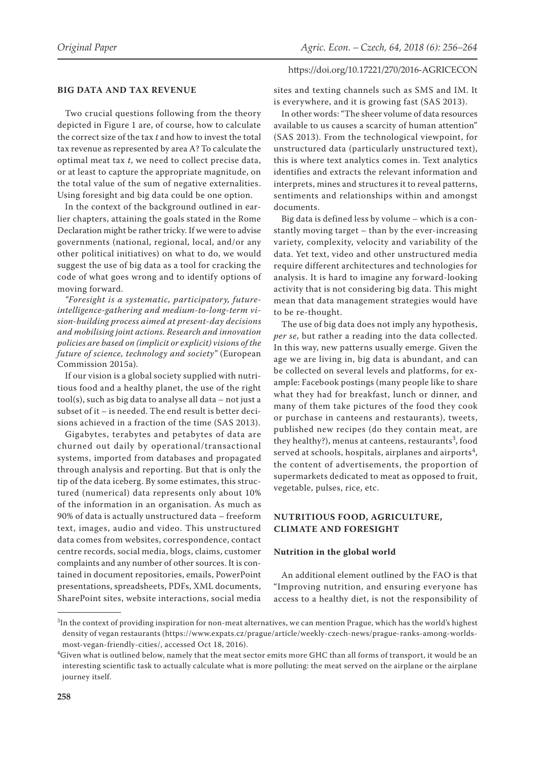# **BIG DATA AND TAX REVENUE**

Two crucial questions following from the theory depicted in Figure 1 are, of course, how to calculate the correct size of the tax *t* and how to invest the total tax revenue as represented by area A? To calculate the optimal meat tax *t*, we need to collect precise data, or at least to capture the appropriate magnitude, on the total value of the sum of negative externalities. Using foresight and big data could be one option.

In the context of the background outlined in earlier chapters, attaining the goals stated in the Rome Declaration might be rather tricky. If we were to advise governments (national, regional, local, and/or any other political initiatives) on what to do, we would suggest the use of big data as a tool for cracking the code of what goes wrong and to identify options of moving forward.

*"Foresight is a systematic, participatory, futureintelligence-gathering and medium-to-long-term vision-building process aimed at present-day decisions and mobilising joint actions. Research and innovation policies are based on (implicit or explicit) visions of the future of science, technology and society"* (European Commission 2015a)*.*

If our vision is a global society supplied with nutritious food and a healthy planet, the use of the right tool(s), such as big data to analyse all data – not just a subset of it – is needed. The end result is better decisions achieved in a fraction of the time (SAS 2013).

Gigabytes, terabytes and petabytes of data are churned out daily by operational/transactional systems, imported from databases and propagated through analysis and reporting. But that is only the tip of the data iceberg. By some estimates, this structured (numerical) data represents only about 10% of the information in an organisation. As much as 90% of data is actually unstructured data – freeform text, images, audio and video. This unstructured data comes from websites, correspondence, contact centre records, social media, blogs, claims, customer complaints and any number of other sources. It is contained in document repositories, emails, PowerPoint presentations, spreadsheets, PDFs, XML documents, SharePoint sites, website interactions, social media

sites and texting channels such as SMS and IM. It is everywhere, and it is growing fast (SAS 2013).

In other words: "The sheer volume of data resources available to us causes a scarcity of human attention" (SAS 2013). From the technological viewpoint, for unstructured data (particularly unstructured text), this is where text analytics comes in. Text analytics identifies and extracts the relevant information and interprets, mines and structures it to reveal patterns, sentiments and relationships within and amongst documents.

Big data is defined less by volume – which is a constantly moving target – than by the ever-increasing variety, complexity, velocity and variability of the data. Yet text, video and other unstructured media require different architectures and technologies for analysis. It is hard to imagine any forward-looking activity that is not considering big data. This might mean that data management strategies would have to be re-thought.

The use of big data does not imply any hypothesis, *per se*, but rather a reading into the data collected. In this way, new patterns usually emerge. Given the age we are living in, big data is abundant, and can be collected on several levels and platforms, for example: Facebook postings (many people like to share what they had for breakfast, lunch or dinner, and many of them take pictures of the food they cook or purchase in canteens and restaurants), tweets, published new recipes (do they contain meat, are they healthy?), menus at canteens, restaurants<sup>3</sup>, food served at schools, hospitals, airplanes and airports<sup>4</sup>, the content of advertisements, the proportion of supermarkets dedicated to meat as opposed to fruit, vegetable, pulses, rice, etc.

# **NUTRITIOUS FOOD, AGRICULTURE, CLIMATE AND FORESIGHT**

#### **Nutrition in the global world**

An additional element outlined by the FAO is that "Improving nutrition, and ensuring everyone has access to a healthy diet, is not the responsibility of

 $^3$ In the context of providing inspiration for non-meat alternatives, we can mention Prague, which has the world's highest density of vegan restaurants (https://www.expats.cz/prague/article/weekly-czech-news/prague-ranks-among-worldsmost-vegan-friendly-cities/, accessed Oct 18, 2016).

 $^4$ Given what is outlined below, namely that the meat sector emits more GHC than all forms of transport, it would be an interesting scientific task to actually calculate what is more polluting: the meat served on the airplane or the airplane journey itself.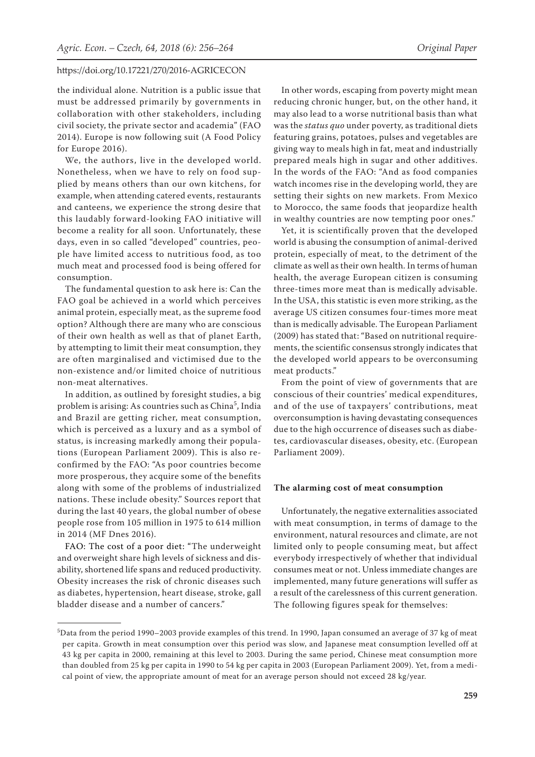the individual alone. Nutrition is a public issue that must be addressed primarily by governments in collaboration with other stakeholders, including civil society, the private sector and academia" (FAO 2014). Europe is now following suit (A Food Policy for Europe 2016).

We, the authors, live in the developed world. Nonetheless, when we have to rely on food supplied by means others than our own kitchens, for example, when attending catered events, restaurants and canteens, we experience the strong desire that this laudably forward-looking FAO initiative will become a reality for all soon. Unfortunately, these days, even in so called "developed" countries, people have limited access to nutritious food, as too much meat and processed food is being offered for consumption.

The fundamental question to ask here is: Can the FAO goal be achieved in a world which perceives animal protein, especially meat, as the supreme food option? Although there are many who are conscious of their own health as well as that of planet Earth, by attempting to limit their meat consumption, they are often marginalised and victimised due to the non-existence and/or limited choice of nutritious non-meat alternatives.

In addition, as outlined by foresight studies, a big problem is arising: As countries such as China<sup>5</sup>, India and Brazil are getting richer, meat consumption, which is perceived as a luxury and as a symbol of status, is increasing markedly among their populations (European Parliament 2009). This is also reconfirmed by the FAO: "As poor countries become more prosperous, they acquire some of the benefits along with some of the problems of industrialized nations. These include obesity." Sources report that during the last 40 years, the global number of obese people rose from 105 million in 1975 to 614 million in 2014 (MF Dnes 2016).

FAO: The cost of a poor diet: "The underweight and overweight share high levels of sickness and disability, shortened life spans and reduced productivity. Obesity increases the risk of chronic diseases such as diabetes, hypertension, heart disease, stroke, gall bladder disease and a number of cancers."

In other words, escaping from poverty might mean reducing chronic hunger, but, on the other hand, it may also lead to a worse nutritional basis than what was the *status quo* under poverty, as traditional diets featuring grains, potatoes, pulses and vegetables are giving way to meals high in fat, meat and industrially prepared meals high in sugar and other additives. In the words of the FAO: "And as food companies watch incomes rise in the developing world, they are setting their sights on new markets. From Mexico to Morocco, the same foods that jeopardize health in wealthy countries are now tempting poor ones."

Yet, it is scientifically proven that the developed world is abusing the consumption of animal-derived protein, especially of meat, to the detriment of the climate as well as their own health. In terms of human health, the average European citizen is consuming three-times more meat than is medically advisable. In the USA, this statistic is even more striking, as the average US citizen consumes four-times more meat than is medically advisable. The European Parliament (2009) has stated that: "Based on nutritional requirements, the scientific consensus strongly indicates that the developed world appears to be overconsuming meat products."

From the point of view of governments that are conscious of their countries' medical expenditures, and of the use of taxpayers' contributions, meat overconsumption is having devastating consequences due to the high occurrence of diseases such as diabetes, cardiovascular diseases, obesity, etc. (European Parliament 2009).

### **The alarming cost of meat consumption**

Unfortunately, the negative externalities associated with meat consumption, in terms of damage to the environment, natural resources and climate, are not limited only to people consuming meat, but affect everybody irrespectively of whether that individual consumes meat or not. Unless immediate changes are implemented, many future generations will suffer as a result of the carelessness of this current generation. The following figures speak for themselves:

 $^5$ Data from the period 1990–2003 provide examples of this trend. In 1990, Japan consumed an average of 37 kg of meat per capita. Growth in meat consumption over this period was slow, and Japanese meat consumption levelled off at 43 kg per capita in 2000, remaining at this level to 2003. During the same period, Chinese meat consumption more than doubled from 25 kg per capita in 1990 to 54 kg per capita in 2003 (European Parliament 2009). Yet, from a medical point of view, the appropriate amount of meat for an average person should not exceed 28 kg/year.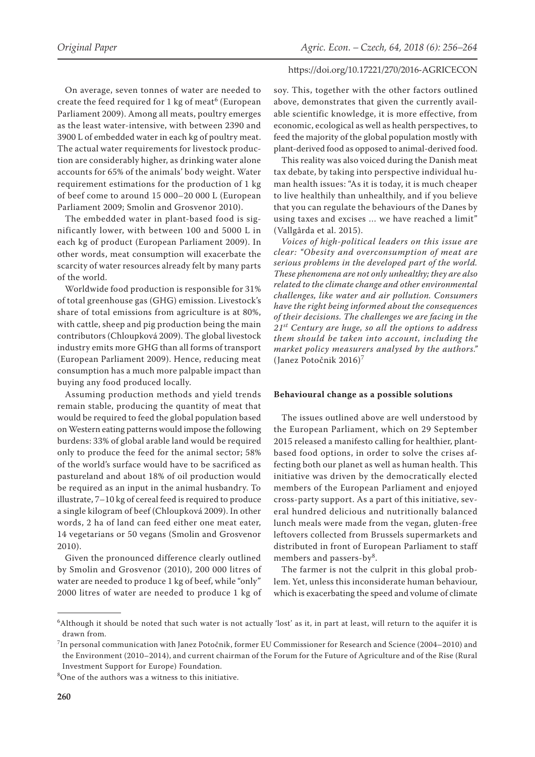On average, seven tonnes of water are needed to create the feed required for 1 kg of meat<sup>6</sup> (European Parliament 2009). Among all meats, poultry emerges as the least water-intensive, with between 2390 and 3900 L of embedded water in each kg of poultry meat. The actual water requirements for livestock production are considerably higher, as drinking water alone accounts for 65% of the animals' body weight. Water requirement estimations for the production of 1 kg of beef come to around 15 000–20 000 L (European Parliament 2009; Smolin and Grosvenor 2010).

The embedded water in plant-based food is significantly lower, with between 100 and 5000 L in each kg of product (European Parliament 2009). In other words, meat consumption will exacerbate the scarcity of water resources already felt by many parts of the world.

Worldwide food production is responsible for 31% of total greenhouse gas (GHG) emission. Livestock's share of total emissions from agriculture is at 80%, with cattle, sheep and pig production being the main contributors (Chloupková 2009). The global livestock industry emits more GHG than all forms of transport (European Parliament 2009). Hence, reducing meat consumption has a much more palpable impact than buying any food produced locally.

Assuming production methods and yield trends remain stable, producing the quantity of meat that would be required to feed the global population based on Western eating patterns would impose the following burdens: 33% of global arable land would be required only to produce the feed for the animal sector; 58% of the world's surface would have to be sacrificed as pastureland and about 18% of oil production would be required as an input in the animal husbandry. To illustrate, 7–10 kg of cereal feed is required to produce a single kilogram of beef (Chloupková 2009). In other words, 2 ha of land can feed either one meat eater, 14 vegetarians or 50 vegans (Smolin and Grosvenor 2010).

Given the pronounced difference clearly outlined by Smolin and Grosvenor (2010), 200 000 litres of water are needed to produce 1 kg of beef, while "only" 2000 litres of water are needed to produce 1 kg of

soy. This, together with the other factors outlined above, demonstrates that given the currently available scientific knowledge, it is more effective, from economic, ecological as well as health perspectives, to feed the majority of the global population mostly with plant-derived food as opposed to animal-derived food.

This reality was also voiced during the Danish meat tax debate, by taking into perspective individual human health issues: "As it is today, it is much cheaper to live healthily than unhealthily, and if you believe that you can regulate the behaviours of the Danes by using taxes and excises … we have reached a limit" (Vallgårda et al. 2015).

*Voices of high-political leaders on this issue are clear: "Obesity and overconsumption of meat are serious problems in the developed part of the world. These phenomena are not only unhealthy; they are also related to the climate change and other environmental challenges, like water and air pollution. Consumers have the right being informed about the consequences of their decisions. The challenges we are facing in the 21st Century are huge, so all the options to address them should be taken into account, including the market policy measurers analysed by the authors."*  (Janez Potočnik 2016)<sup>7</sup>

# **Behavioural change as a possible solutions**

The issues outlined above are well understood by the European Parliament, which on 29 September 2015 released a manifesto calling for healthier, plantbased food options, in order to solve the crises affecting both our planet as well as human health. This initiative was driven by the democratically elected members of the European Parliament and enjoyed cross-party support. As a part of this initiative, several hundred delicious and nutritionally balanced lunch meals were made from the vegan, gluten-free leftovers collected from Brussels supermarkets and distributed in front of European Parliament to staff members and passers-by<sup>8</sup>.

The farmer is not the culprit in this global problem. Yet, unless this inconsiderate human behaviour, which is exacerbating the speed and volume of climate

<sup>6</sup> Although it should be noted that such water is not actually 'lost' as it, in part at least, will return to the aquifer it is drawn from.

<sup>7</sup> In personal communication with Janez Potočnik, former EU Commissioner for Research and Science (2004–2010) and the Environment (2010–2014), and current chairman of the Forum for the Future of Agriculture and of the Rise (Rural Investment Support for Europe) Foundation.

<sup>8</sup> One of the authors was a witness to this initiative.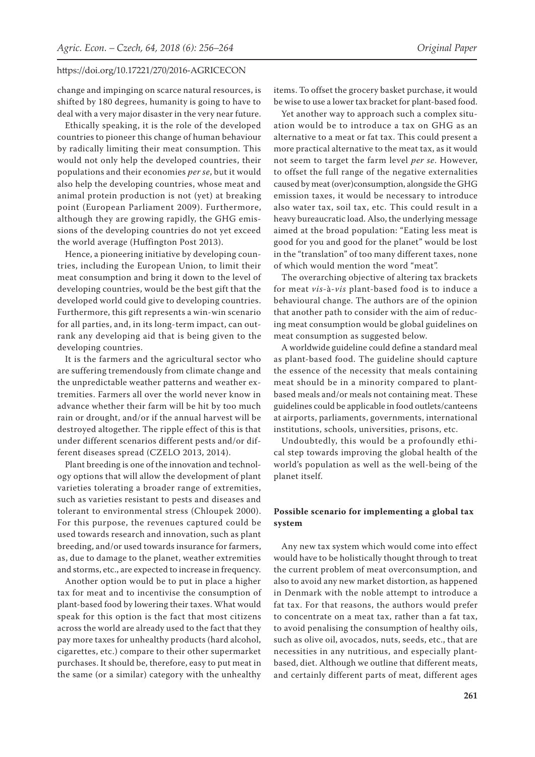change and impinging on scarce natural resources, is shifted by 180 degrees, humanity is going to have to deal with a very major disaster in the very near future.

Ethically speaking, it is the role of the developed countries to pioneer this change of human behaviour by radically limiting their meat consumption. This would not only help the developed countries, their populations and their economies *per se*, but it would also help the developing countries, whose meat and animal protein production is not (yet) at breaking point (European Parliament 2009). Furthermore, although they are growing rapidly, the GHG emissions of the developing countries do not yet exceed the world average (Huffington Post 2013).

Hence, a pioneering initiative by developing countries, including the European Union, to limit their meat consumption and bring it down to the level of developing countries, would be the best gift that the developed world could give to developing countries. Furthermore, this gift represents a win-win scenario for all parties, and, in its long-term impact, can outrank any developing aid that is being given to the developing countries.

It is the farmers and the agricultural sector who are suffering tremendously from climate change and the unpredictable weather patterns and weather extremities. Farmers all over the world never know in advance whether their farm will be hit by too much rain or drought, and/or if the annual harvest will be destroyed altogether. The ripple effect of this is that under different scenarios different pests and/or different diseases spread (CZELO 2013, 2014).

Plant breeding is one of the innovation and technology options that will allow the development of plant varieties tolerating a broader range of extremities, such as varieties resistant to pests and diseases and tolerant to environmental stress (Chloupek 2000). For this purpose, the revenues captured could be used towards research and innovation, such as plant breeding, and/or used towards insurance for farmers, as, due to damage to the planet, weather extremities and storms, etc., are expected to increase in frequency.

Another option would be to put in place a higher tax for meat and to incentivise the consumption of plant-based food by lowering their taxes. What would speak for this option is the fact that most citizens across the world are already used to the fact that they pay more taxes for unhealthy products (hard alcohol, cigarettes, etc.) compare to their other supermarket purchases. It should be, therefore, easy to put meat in the same (or a similar) category with the unhealthy

items. To offset the grocery basket purchase, it would be wise to use a lower tax bracket for plant-based food.

Yet another way to approach such a complex situation would be to introduce a tax on GHG as an alternative to a meat or fat tax. This could present a more practical alternative to the meat tax, as it would not seem to target the farm level *per se*. However, to offset the full range of the negative externalities caused by meat (over)consumption, alongside the GHG emission taxes, it would be necessary to introduce also water tax, soil tax, etc. This could result in a heavy bureaucratic load. Also, the underlying message aimed at the broad population: "Eating less meat is good for you and good for the planet" would be lost in the "translation" of too many different taxes, none of which would mention the word "meat".

The overarching objective of altering tax brackets for meat *vis-*à*-vis* plant-based food is to induce a behavioural change. The authors are of the opinion that another path to consider with the aim of reducing meat consumption would be global guidelines on meat consumption as suggested below.

A worldwide guideline could define a standard meal as plant-based food. The guideline should capture the essence of the necessity that meals containing meat should be in a minority compared to plantbased meals and/or meals not containing meat. These guidelines could be applicable in food outlets/canteens at airports, parliaments, governments, international institutions, schools, universities, prisons, etc.

Undoubtedly, this would be a profoundly ethical step towards improving the global health of the world's population as well as the well-being of the planet itself.

# **Possible scenario for implementing a global tax system**

Any new tax system which would come into effect would have to be holistically thought through to treat the current problem of meat overconsumption, and also to avoid any new market distortion, as happened in Denmark with the noble attempt to introduce a fat tax. For that reasons, the authors would prefer to concentrate on a meat tax, rather than a fat tax, to avoid penalising the consumption of healthy oils, such as olive oil, avocados, nuts, seeds, etc., that are necessities in any nutritious, and especially plantbased, diet. Although we outline that different meats, and certainly different parts of meat, different ages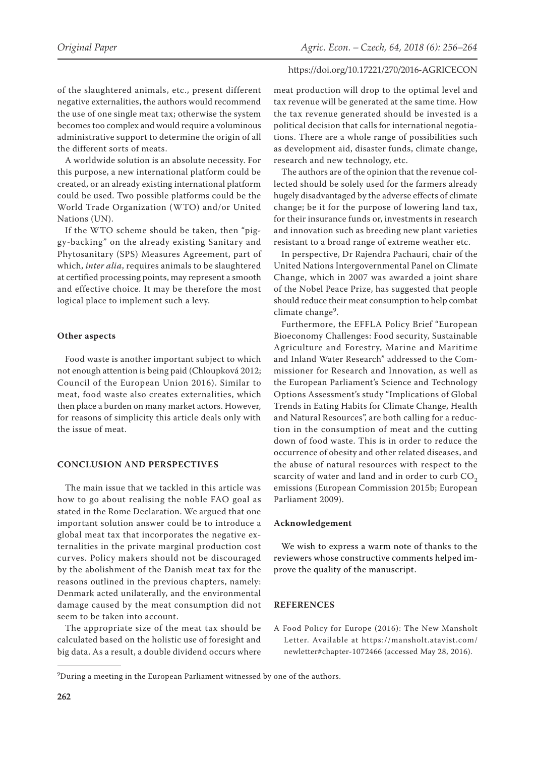of the slaughtered animals, etc., present different negative externalities, the authors would recommend the use of one single meat tax; otherwise the system becomes too complex and would require a voluminous administrative support to determine the origin of all the different sorts of meats.

A worldwide solution is an absolute necessity. For this purpose, a new international platform could be created, or an already existing international platform could be used. Two possible platforms could be the World Trade Organization (WTO) and/or United Nations (UN).

If the WTO scheme should be taken, then "piggy-backing" on the already existing Sanitary and Phytosanitary (SPS) Measures Agreement, part of which, *inter alia*, requires animals to be slaughtered at certified processing points, may represent a smooth and effective choice. It may be therefore the most logical place to implement such a levy.

# **Other aspects**

Food waste is another important subject to which not enough attention is being paid (Chloupková 2012; Council of the European Union 2016). Similar to meat, food waste also creates externalities, which then place a burden on many market actors. However, for reasons of simplicity this article deals only with the issue of meat.

#### **CONCLUSION AND PERSPECTIVES**

The main issue that we tackled in this article was how to go about realising the noble FAO goal as stated in the Rome Declaration. We argued that one important solution answer could be to introduce a global meat tax that incorporates the negative externalities in the private marginal production cost curves. Policy makers should not be discouraged by the abolishment of the Danish meat tax for the reasons outlined in the previous chapters, namely: Denmark acted unilaterally, and the environmental damage caused by the meat consumption did not seem to be taken into account.

The appropriate size of the meat tax should be calculated based on the holistic use of foresight and big data. As a result, a double dividend occurs where

meat production will drop to the optimal level and tax revenue will be generated at the same time. How the tax revenue generated should be invested is a political decision that calls for international negotiations. There are a whole range of possibilities such as development aid, disaster funds, climate change, research and new technology, etc.

The authors are of the opinion that the revenue collected should be solely used for the farmers already hugely disadvantaged by the adverse effects of climate change; be it for the purpose of lowering land tax, for their insurance funds or, investments in research and innovation such as breeding new plant varieties resistant to a broad range of extreme weather etc.

In perspective, Dr Rajendra Pachauri, chair of the United Nations Intergovernmental Panel on Climate Change, which in 2007 was awarded a joint share of the Nobel Peace Prize, has suggested that people should reduce their meat consumption to help combat climate change<sup>9</sup>.

Furthermore, the EFFLA Policy Brief "European Bioeconomy Challenges: Food security, Sustainable Agriculture and Forestry, Marine and Maritime and Inland Water Research" addressed to the Commissioner for Research and Innovation, as well as the European Parliament's Science and Technology Options Assessment's study "Implications of Global Trends in Eating Habits for Climate Change, Health and Natural Resources", are both calling for a reduction in the consumption of meat and the cutting down of food waste. This is in order to reduce the occurrence of obesity and other related diseases, and the abuse of natural resources with respect to the scarcity of water and land and in order to curb  $CO<sub>2</sub>$ emissions (European Commission 2015b; European Parliament 2009).

## **Acknowledgement**

We wish to express a warm note of thanks to the reviewers whose constructive comments helped improve the quality of the manuscript.

# **REFERENCES**

A Food Policy for Europe (2016): The New Mansholt Letter. Available at https://mansholt.atavist.com/ newletter#chapter-1072466 (accessed May 28, 2016).

 $^9$ During a meeting in the European Parliament witnessed by one of the authors.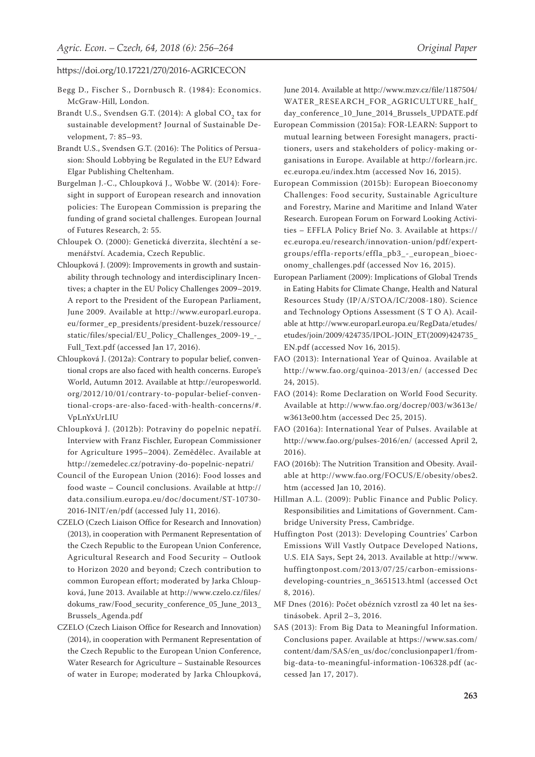- Begg D., Fischer S., Dornbusch R. (1984): Economics. McGraw-Hill, London.
- Brandt U.S., Svendsen G.T. (2014): A global  $CO<sub>2</sub>$  tax for [sustainable development?](http://findresearcher.sdu.dk/portal/da/publications/a-global-co2-tax-for-sustainable-development(879e3769-87ad-49f3-b41f-cea95354a1af).html) [Journal of Sustainable De](http://findresearcher.sdu.dk/portal/da/journals/journal-of-sustainable-development(146fbb7c-2aa5-49b9-bae9-fe1e780caf24).html)[velopment](http://findresearcher.sdu.dk/portal/da/journals/journal-of-sustainable-development(146fbb7c-2aa5-49b9-bae9-fe1e780caf24).html), 7: 85–93.
- Brandt U.S., Svendsen G.T. (2016): The Politics of Persuasion: Should Lobbying be Regulated in the EU? Edward Elgar Publishing Cheltenham.
- Burgelman J.-C., Chloupková J., Wobbe W. (2014): Foresight in support of European research and innovation policies: The European Commission is preparing the funding of grand societal challenges. European Journal of Futures Research, 2: 55.
- Chloupek O. (2000): Genetická diverzita, šlechtění a semenářství. Academia, Czech Republic.
- Chloupková J. (2009): Improvements in growth and sustainability through technology and interdisciplinary Incentives; a chapter in the EU Policy Challenges 2009–2019. A report to the President of the European Parliament, June 2009. Available at http://www.europarl.europa. eu/former\_ep\_presidents/president-buzek/ressource/ static/files/special/EU\_Policy\_Challenges\_2009-19\_-\_ Full\_Text.pdf (accessed Jan 17, 2016).
- Chloupková J. (2012a): Contrary to popular belief, conventional crops are also faced with health concerns. Europe's World, Autumn 2012. Available at http://europesworld. org/2012/10/01/contrary-to-popular-belief-conventional-crops-are-also-faced-with-health-concerns/#. VpLnYxUrLIU
- Chloupková J. (2012b): Potraviny do popelnic nepatří. Interview with Franz Fischler, European Commissioner for Agriculture 1995–2004). Zemědělec. Available at http://zemedelec.cz/potraviny-do-popelnic-nepatri/
- Council of the European Union (2016): Food losses and food waste – Council conclusions. Available at http:// data.consilium.europa.eu/doc/document/ST-10730- 2016-INIT/en/pdf (accessed July 11, 2016).
- CZELO (Czech Liaison Office for Research and Innovation) (2013), in cooperation with Permanent Representation of the Czech Republic to the European Union Conference, Agricultural Research and Food Security – Outlook to Horizon 2020 and beyond; Czech contribution to common European effort; moderated by Jarka Chloupková, June 2013. Available at http://www.czelo.cz/files/ dokums\_raw/Food\_security\_conference\_05\_June\_2013\_ Brussels\_Agenda.pdf
- CZELO (Czech Liaison Office for Research and Innovation) (2014), in cooperation with Permanent Representation of the Czech Republic to the European Union Conference, Water Research for Agriculture – Sustainable Resources of water in Europe; moderated by Jarka Chloupková,

June 2014. Available at http://www.mzv.cz/file/1187504/ WATER\_RESEARCH\_FOR\_AGRICULTURE\_half\_ day\_conference\_10\_June\_2014\_Brussels\_UPDATE.pdf

- European Commission (2015a): FOR-LEARN: Support to mutual learning between Foresight managers, practitioners, users and stakeholders of policy-making organisations in Europe. Available at http://forlearn.jrc. ec.europa.eu/index.htm (accessed Nov 16, 2015).
- European Commission (2015b): European Bioeconomy Challenges: Food security, Sustainable Agriculture and Forestry, Marine and Maritime and Inland Water Research. European Forum on Forward Looking Activities – EFFLA Policy Brief No. 3. Available at https:// ec.europa.eu/research/innovation-union/pdf/expertgroups/effla-reports/effla\_pb3\_-\_european\_bioeconomy\_challenges.pdf (accessed Nov 16, 2015).
- European Parliament (2009): Implications of Global Trends in Eating Habits for Climate Change, Health and Natural Resources Study (IP/A/STOA/IC/2008-180). Science and Technology Options Assessment (S T O A). Acailable at http://www.europarl.europa.eu/RegData/etudes/ etudes/join/2009/424735/IPOL-JOIN\_ET(2009)424735\_ EN.pdf (accessed Nov 16, 2015).
- FAO (2013): International Year of Quinoa. Available at http://www.fao.org/quinoa-2013/en/ (accessed Dec 24, 2015).
- FAO (2014): Rome Declaration on World Food Security. Available at http://www.fao.org/docrep/003/w3613e/ w3613e00.htm (accessed Dec 25, 2015).
- FAO (2016a): International Year of Pulses. Available at http://www.fao.org/pulses-2016/en/ (accessed April 2, 2016).
- FAO (2016b): The Nutrition Transition and Obesity. Available at http://www.fao.org/FOCUS/E/obesity/obes2. htm (accessed Jan 10, 2016).
- Hillman A.L. (2009): Public Finance and Public Policy. Responsibilities and Limitations of Government. Cambridge University Press, Cambridge.
- Huffington Post (2013): Developing Countries' Carbon Emissions Will Vastly Outpace Developed Nations, U.S. EIA Says, Sept 24, 2013. Available at http://www. huffingtonpost.com/2013/07/25/carbon-emissionsdeveloping-countries\_n\_3651513.html (accessed Oct 8, 2016).
- MF Dnes (2016): Počet obézních vzrostl za 40 let na šestinásobek. April 2–3, 2016.
- SAS (2013): From Big Data to Meaningful Information. Conclusions paper. Available at https://www.sas.com/ content/dam/SAS/en\_us/doc/conclusionpaper1/frombig-data-to-meaningful-information-106328.pdf (accessed Jan 17, 2017).